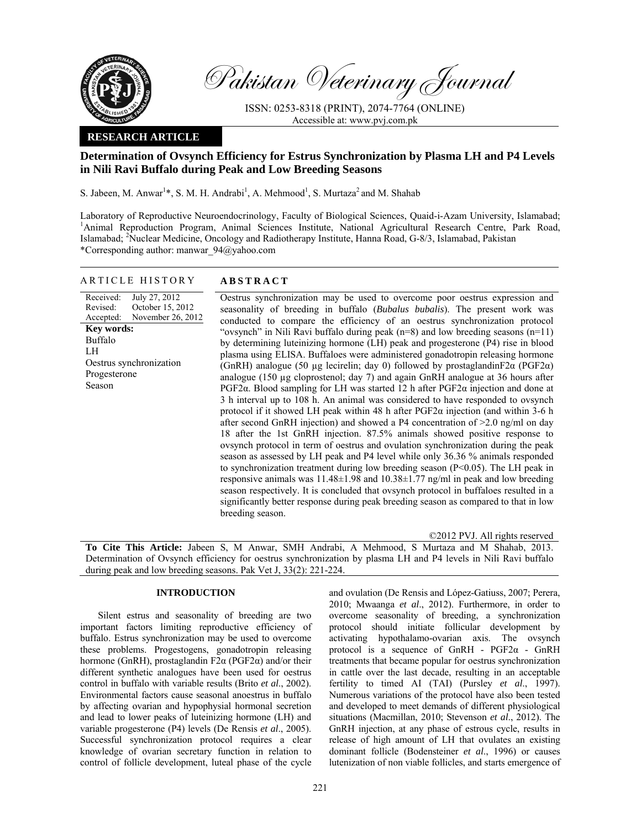

Pakistan Veterinary Journal

ISSN: 0253-8318 (PRINT), 2074-7764 (ONLINE) Accessible at: www.pvj.com.pk

## **RESEARCH ARTICLE**

# **Determination of Ovsynch Efficiency for Estrus Synchronization by Plasma LH and P4 Levels in Nili Ravi Buffalo during Peak and Low Breeding Seasons**

S. Jabeen, M. Anwar<sup>1\*</sup>, S. M. H. Andrabi<sup>1</sup>, A. Mehmood<sup>1</sup>, S. Murtaza<sup>2</sup> and M. Shahab

Laboratory of Reproductive Neuroendocrinology, Faculty of Biological Sciences, Quaid-i-Azam University, Islamabad; 1 <sup>1</sup>Animal Reproduction Program, Animal Sciences Institute, National Agricultural Research Centre, Park Road, Islamabad; <sup>2</sup>Nuclear Medicine, Oncology and Radiotherapy Institute, Hanna Road, G-8/3, Islamabad, Pakistan \*Corresponding author: manwar\_94@yahoo.com

#### ARTICLE HISTORY **ABSTRACT**

Received: Revised: Accepted: July 27, 2012 October 15, 2012 November 26, 2012 **Key words:**  Buffalo LH Oestrus synchronization Progesterone Season

 Oestrus synchronization may be used to overcome poor oestrus expression and seasonality of breeding in buffalo (*Bubalus bubalis*). The present work was conducted to compare the efficiency of an oestrus synchronization protocol "ovsynch" in Nili Ravi buffalo during peak  $(n=8)$  and low breeding seasons  $(n=11)$ by determining luteinizing hormone (LH) peak and progesterone (P4) rise in blood plasma using ELISA. Buffaloes were administered gonadotropin releasing hormone (GnRH) analogue (50 µg lecirelin; day 0) followed by prostaglandinF2 $\alpha$  (PGF2 $\alpha$ ) analogue (150 µg cloprostenol; day 7) and again GnRH analogue at 36 hours after PGF2α. Blood sampling for LH was started 12 h after PGF2α injection and done at 3 h interval up to 108 h. An animal was considered to have responded to ovsynch protocol if it showed LH peak within 48 h after  $PGF2\alpha$  injection (and within 3-6 h after second GnRH injection) and showed a P4 concentration of  $>2.0$  ng/ml on day 18 after the 1st GnRH injection. 87.5% animals showed positive response to ovsynch protocol in term of oestrus and ovulation synchronization during the peak season as assessed by LH peak and P4 level while only 36.36 % animals responded to synchronization treatment during low breeding season (P<0.05). The LH peak in responsive animals was 11.48±1.98 and 10.38±1.77 ng/ml in peak and low breeding season respectively. It is concluded that ovsynch protocol in buffaloes resulted in a significantly better response during peak breeding season as compared to that in low breeding season.

©2012 PVJ. All rights reserved **To Cite This Article:** Jabeen S, M Anwar, SMH Andrabi, A Mehmood, S Murtaza and M Shahab, 2013. Determination of Ovsynch efficiency for oestrus synchronization by plasma LH and P4 levels in Nili Ravi buffalo during peak and low breeding seasons. Pak Vet J, 33(2): 221-224.

## **INTRODUCTION**

Silent estrus and seasonality of breeding are two important factors limiting reproductive efficiency of buffalo. Estrus synchronization may be used to overcome these problems. Progestogens, gonadotropin releasing hormone (GnRH), prostaglandin F2 $\alpha$  (PGF2 $\alpha$ ) and/or their different synthetic analogues have been used for oestrus control in buffalo with variable results (Brito *et al*., 2002). Environmental factors cause seasonal anoestrus in buffalo by affecting ovarian and hypophysial hormonal secretion and lead to lower peaks of luteinizing hormone (LH) and variable progesterone (P4) levels (De Rensis *et al*., 2005). Successful synchronization protocol requires a clear knowledge of ovarian secretary function in relation to control of follicle development, luteal phase of the cycle

and ovulation (De Rensis and López-Gatiuss, 2007; Perera, 2010; Mwaanga *et al*., 2012). Furthermore, in order to overcome seasonality of breeding, a synchronization protocol should initiate follicular development by activating hypothalamo-ovarian axis. The ovsynch protocol is a sequence of GnRH - PGF2α - GnRH treatments that became popular for oestrus synchronization in cattle over the last decade, resulting in an acceptable fertility to timed AI (TAI) (Pursley *et al*., 1997). Numerous variations of the protocol have also been tested and developed to meet demands of different physiological situations (Macmillan, 2010; Stevenson *et al*., 2012). The GnRH injection, at any phase of estrous cycle, results in release of high amount of LH that ovulates an existing dominant follicle (Bodensteiner *et al*., 1996) or causes lutenization of non viable follicles, and starts emergence of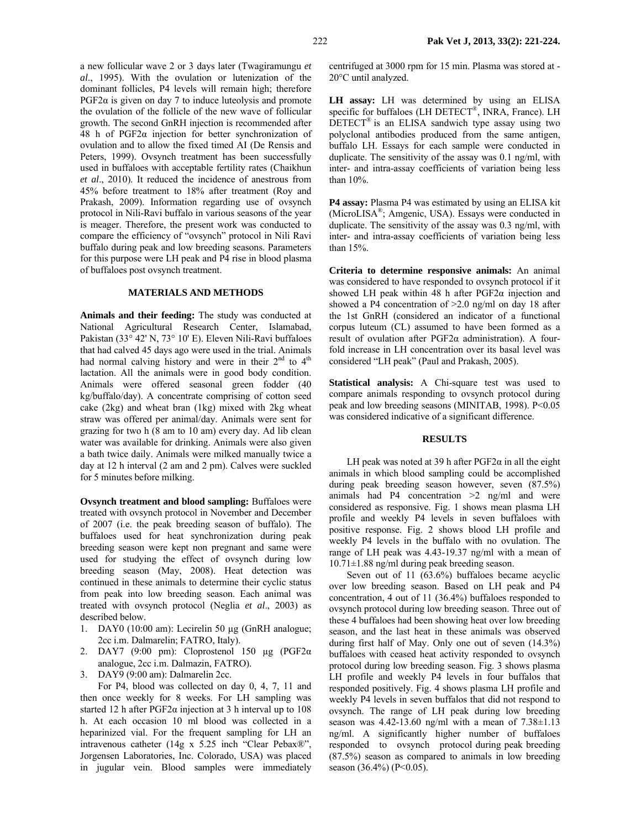a new follicular wave 2 or 3 days later (Twagiramungu *et al*., 1995). With the ovulation or lutenization of the dominant follicles, P4 levels will remain high; therefore  $PGF2\alpha$  is given on day 7 to induce luteolysis and promote the ovulation of the follicle of the new wave of follicular growth. The second GnRH injection is recommended after 48 h of PGF2α injection for better synchronization of ovulation and to allow the fixed timed AI (De Rensis and Peters, 1999). Ovsynch treatment has been successfully used in buffaloes with acceptable fertility rates (Chaikhun *et al*., 2010). It reduced the incidence of anestrous from 45% before treatment to 18% after treatment (Roy and Prakash, 2009). Information regarding use of ovsynch protocol in Nili-Ravi buffalo in various seasons of the year is meager. Therefore, the present work was conducted to compare the efficiency of "ovsynch" protocol in Nili Ravi buffalo during peak and low breeding seasons. Parameters for this purpose were LH peak and P4 rise in blood plasma of buffaloes post ovsynch treatment.

## **MATERIALS AND METHODS**

**Animals and their feeding:** The study was conducted at National Agricultural Research Center, Islamabad, Pakistan (33° 42' N, 73° 10' E). Eleven Nili-Ravi buffaloes that had calved 45 days ago were used in the trial. Animals had normal calving history and were in their  $2<sup>nd</sup>$  to  $4<sup>th</sup>$ lactation. All the animals were in good body condition. Animals were offered seasonal green fodder (40 kg/buffalo/day). A concentrate comprising of cotton seed cake (2kg) and wheat bran (1kg) mixed with 2kg wheat straw was offered per animal/day. Animals were sent for grazing for two h (8 am to 10 am) every day. Ad lib clean water was available for drinking. Animals were also given a bath twice daily. Animals were milked manually twice a day at 12 h interval (2 am and 2 pm). Calves were suckled for 5 minutes before milking.

**Ovsynch treatment and blood sampling:** Buffaloes were treated with ovsynch protocol in November and December of 2007 (i.e. the peak breeding season of buffalo). The buffaloes used for heat synchronization during peak breeding season were kept non pregnant and same were used for studying the effect of ovsynch during low breeding season (May, 2008). Heat detection was continued in these animals to determine their cyclic status from peak into low breeding season. Each animal was treated with ovsynch protocol (Neglia *et al*., 2003) as described below.

- 1. DAY0 (10:00 am): Lecirelin 50 µg (GnRH analogue; 2cc i.m. Dalmarelin; FATRO, Italy).
- 2. DAY7 (9:00 pm): Cloprostenol 150 µg (PGF2α analogue, 2cc i.m. Dalmazin, FATRO).
- 3. DAY9 (9:00 am): Dalmarelin 2cc.

For P4, blood was collected on day 0, 4, 7, 11 and then once weekly for 8 weeks. For LH sampling was started 12 h after  $PGF2\alpha$  injection at 3 h interval up to 108 h. At each occasion 10 ml blood was collected in a heparinized vial. For the frequent sampling for LH an intravenous catheter (14g x 5.25 inch "Clear Pebax®", Jorgensen Laboratories, Inc. Colorado, USA) was placed in jugular vein. Blood samples were immediately

centrifuged at 3000 rpm for 15 min. Plasma was stored at - 20°C until analyzed.

**LH assay:** LH was determined by using an ELISA specific for buffaloes (LH DETECT®, INRA, France). LH  $DETECT^{\circledast}$  is an ELISA sandwich type assay using two polyclonal antibodies produced from the same antigen, buffalo LH. Essays for each sample were conducted in duplicate. The sensitivity of the assay was 0.1 ng/ml, with inter- and intra-assay coefficients of variation being less than 10%.

**P4 assay:** Plasma P4 was estimated by using an ELISA kit (MicroLISA®; Amgenic, USA). Essays were conducted in duplicate. The sensitivity of the assay was 0.3 ng/ml, with inter- and intra-assay coefficients of variation being less than 15%.

**Criteria to determine responsive animals:** An animal was considered to have responded to ovsynch protocol if it showed LH peak within 48 h after PGF2α injection and showed a P4 concentration of >2.0 ng/ml on day 18 after the 1st GnRH (considered an indicator of a functional corpus luteum (CL) assumed to have been formed as a result of ovulation after PGF2α administration). A fourfold increase in LH concentration over its basal level was considered "LH peak" (Paul and Prakash, 2005).

**Statistical analysis:** A Chi-square test was used to compare animals responding to ovsynch protocol during peak and low breeding seasons (MINITAB, 1998). P<0.05 was considered indicative of a significant difference.

#### **RESULTS**

LH peak was noted at 39 h after  $PGF2\alpha$  in all the eight animals in which blood sampling could be accomplished during peak breeding season however, seven (87.5%) animals had P4 concentration >2 ng/ml and were considered as responsive. Fig. 1 shows mean plasma LH profile and weekly P4 levels in seven buffaloes with positive response. Fig. 2 shows blood LH profile and weekly P4 levels in the buffalo with no ovulation. The range of LH peak was 4.43-19.37 ng/ml with a mean of 10.71±1.88 ng/ml during peak breeding season.

Seven out of 11 (63.6%) buffaloes became acyclic over low breeding season. Based on LH peak and P4 concentration, 4 out of 11 (36.4%) buffaloes responded to ovsynch protocol during low breeding season. Three out of these 4 buffaloes had been showing heat over low breeding season, and the last heat in these animals was observed during first half of May. Only one out of seven (14.3%) buffaloes with ceased heat activity responded to ovsynch protocol during low breeding season. Fig. 3 shows plasma LH profile and weekly P4 levels in four buffalos that responded positively. Fig. 4 shows plasma LH profile and weekly P4 levels in seven buffalos that did not respond to ovsynch. The range of LH peak during low breeding season was  $4.42$ -13.60 ng/ml with a mean of  $7.38 \pm 1.13$ ng/ml. A significantly higher number of buffaloes responded to ovsynch protocol during peak breeding (87.5%) season as compared to animals in low breeding season  $(36.4\%)$  (P<0.05).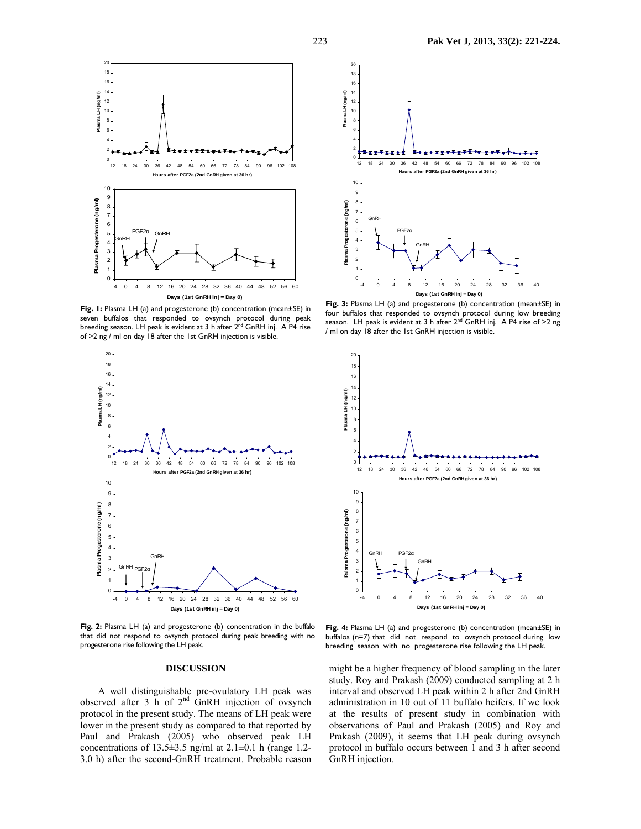

**Fig. 1:** Plasma LH (a) and progesterone (b) concentration (mean±SE) in seven buffalos that responded to ovsynch protocol during peak breeding season. LH peak is evident at 3 h after 2<sup>nd</sup> GnRH inj. A P4 rise of >2 ng / ml on day 18 after the 1st GnRH injection is visible.



Fig. 2: Plasma LH (a) and progesterone (b) concentration in the buffalo that did not respond to ovsynch protocol during peak breeding with no progesterone rise following the LH peak.

#### **DISCUSSION**

A well distinguishable pre-ovulatory LH peak was observed after 3 h of  $2<sup>nd</sup>$  GnRH injection of ovsynch protocol in the present study. The means of LH peak were lower in the present study as compared to that reported by Paul and Prakash (2005) who observed peak LH concentrations of  $13.5\pm3.5$  ng/ml at  $2.1\pm0.1$  h (range 1.2-3.0 h) after the second-GnRH treatment. Probable reason



**Fig. 3:** Plasma LH (a) and progesterone (b) concentration (mean±SE) in four buffalos that responded to ovsynch protocol during low breeding season. LH peak is evident at 3 h after  $2^{nd}$  GnRH inj. A P4 rise of >2 ng / ml on day 18 after the 1st GnRH injection is visible.



**Fig. 4:** Plasma LH (a) and progesterone (b) concentration (mean±SE) in buffalos (n=7) that did not respond to ovsynch protocol during low breeding season with no progesterone rise following the LH peak.

might be a higher frequency of blood sampling in the later study. Roy and Prakash (2009) conducted sampling at 2 h interval and observed LH peak within 2 h after 2nd GnRH administration in 10 out of 11 buffalo heifers. If we look at the results of present study in combination with observations of Paul and Prakash (2005) and Roy and Prakash (2009), it seems that LH peak during ovsynch protocol in buffalo occurs between 1 and 3 h after second GnRH injection.